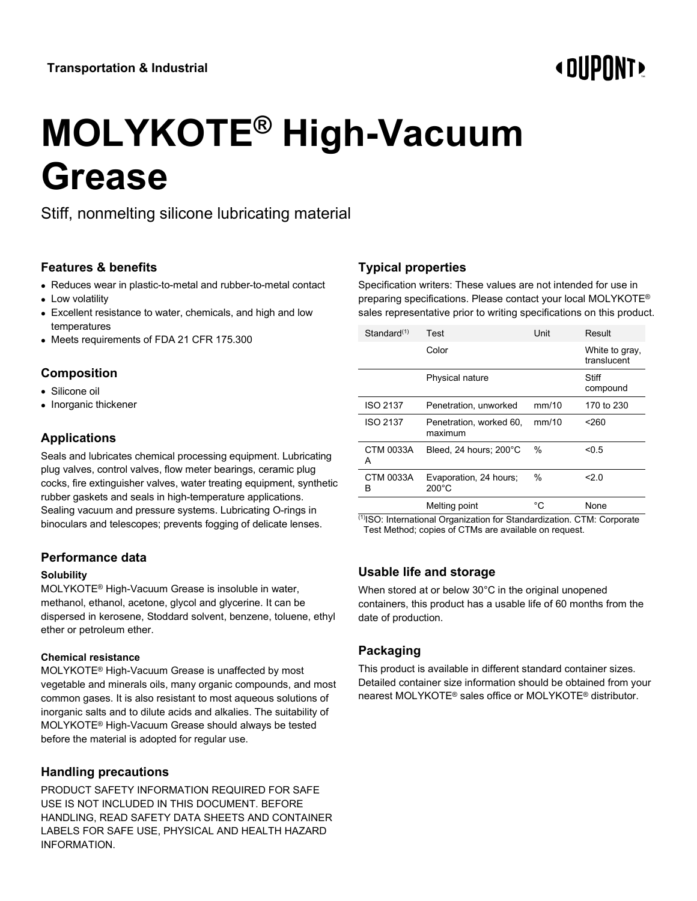# **« OUPONT**

# **MOLYKOTE® High-Vacuum Grease**

Stiff, nonmelting silicone lubricating material

### **Features & benefits**

- Reduces wear in plastic-to-metal and rubber-to-metal contact
- Low volatility
- Excellent resistance to water, chemicals, and high and low temperatures
- Meets requirements of FDA 21 CFR 175.300

# **Composition**

- Silicone oil
- Inorganic thickener

# **Applications**

Seals and lubricates chemical processing equipment. Lubricating plug valves, control valves, flow meter bearings, ceramic plug cocks, fire extinguisher valves, water treating equipment, synthetic rubber gaskets and seals in high-temperature applications. Sealing vacuum and pressure systems. Lubricating O-rings in binoculars and telescopes; prevents fogging of delicate lenses.

# **Performance data**

#### **Solubility**

MOLYKOTE® High-Vacuum Grease is insoluble in water, methanol, ethanol, acetone, glycol and glycerine. It can be dispersed in kerosene, Stoddard solvent, benzene, toluene, ethyl ether or petroleum ether.

#### **Chemical resistance**

MOLYKOTE® High-Vacuum Grease is unaffected by most vegetable and minerals oils, many organic compounds, and most common gases. It is also resistant to most aqueous solutions of inorganic salts and to dilute acids and alkalies. The suitability of MOLYKOTE® High-Vacuum Grease should always be tested before the material is adopted for regular use.

# **Handling precautions**

PRODUCT SAFETY INFORMATION REQUIRED FOR SAFE USE IS NOT INCLUDED IN THIS DOCUMENT. BEFORE HANDLING, READ SAFETY DATA SHEETS AND CONTAINER LABELS FOR SAFE USE, PHYSICAL AND HEALTH HAZARD INFORMATION.

# **Typical properties**

Specification writers: These values are not intended for use in preparing specifications. Please contact your local MOLYKOTE® sales representative prior to writing specifications on this product.

| Standard(1)           | Test                                      | Unit  | Result                        |
|-----------------------|-------------------------------------------|-------|-------------------------------|
|                       | Color                                     |       | White to gray,<br>translucent |
|                       | Physical nature                           |       | Stiff<br>compound             |
| <b>ISO 2137</b>       | Penetration, unworked                     | mm/10 | 170 to 230                    |
| <b>ISO 2137</b>       | Penetration, worked 60,<br>maximum        | mm/10 | $260$                         |
| CTM 0033A<br>A        | Bleed, 24 hours; 200°C                    | $\%$  | < 0.5                         |
| <b>CTM 0033A</b><br>в | Evaporation, 24 hours;<br>$200^{\circ}$ C | %     | 2.0                           |
|                       | Melting point                             | °C    | None                          |

(1)ISO: International Organization for Standardization. CTM: Corporate Test Method; copies of CTMs are available on request.

# **Usable life and storage**

When stored at or below 30°C in the original unopened containers, this product has a usable life of 60 months from the date of production.

# **Packaging**

This product is available in different standard container sizes. Detailed container size information should be obtained from your nearest MOLYKOTE® sales office or MOLYKOTE® distributor.